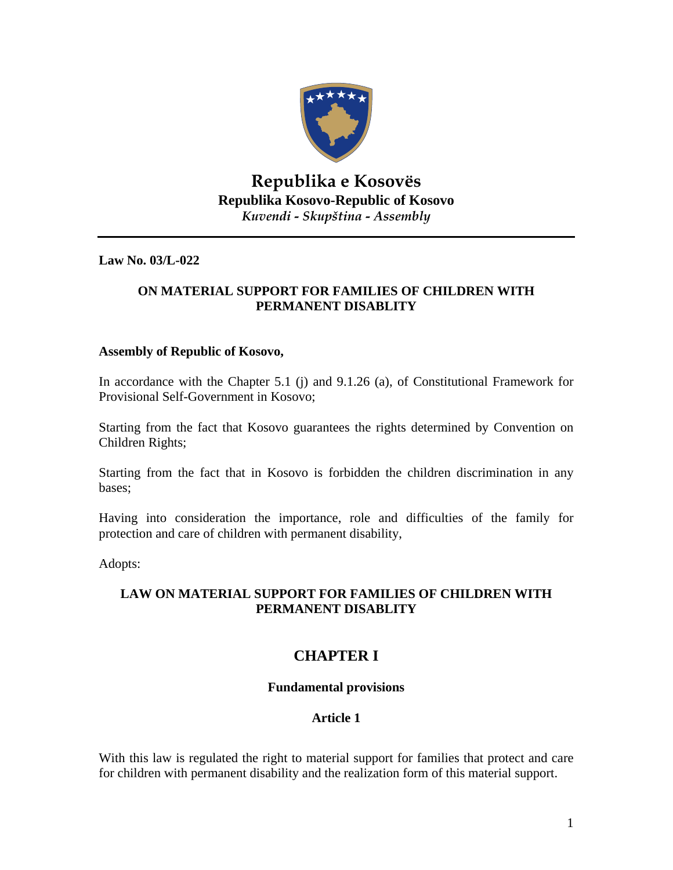

# **Republika e Kosovës Republika Kosovo-Republic of Kosovo** *Kuvendi - Skupština - Assembly*

**Law No. 03/L-022** 

### **ON MATERIAL SUPPORT FOR FAMILIES OF CHILDREN WITH PERMANENT DISABLITY**

#### **Assembly of Republic of Kosovo,**

In accordance with the Chapter 5.1 (j) and 9.1.26 (a), of Constitutional Framework for Provisional Self-Government in Kosovo;

Starting from the fact that Kosovo guarantees the rights determined by Convention on Children Rights;

Starting from the fact that in Kosovo is forbidden the children discrimination in any bases;

Having into consideration the importance, role and difficulties of the family for protection and care of children with permanent disability,

Adopts:

## **LAW ON MATERIAL SUPPORT FOR FAMILIES OF CHILDREN WITH PERMANENT DISABLITY**

# **CHAPTER I**

## **Fundamental provisions**

## **Article 1**

With this law is regulated the right to material support for families that protect and care for children with permanent disability and the realization form of this material support.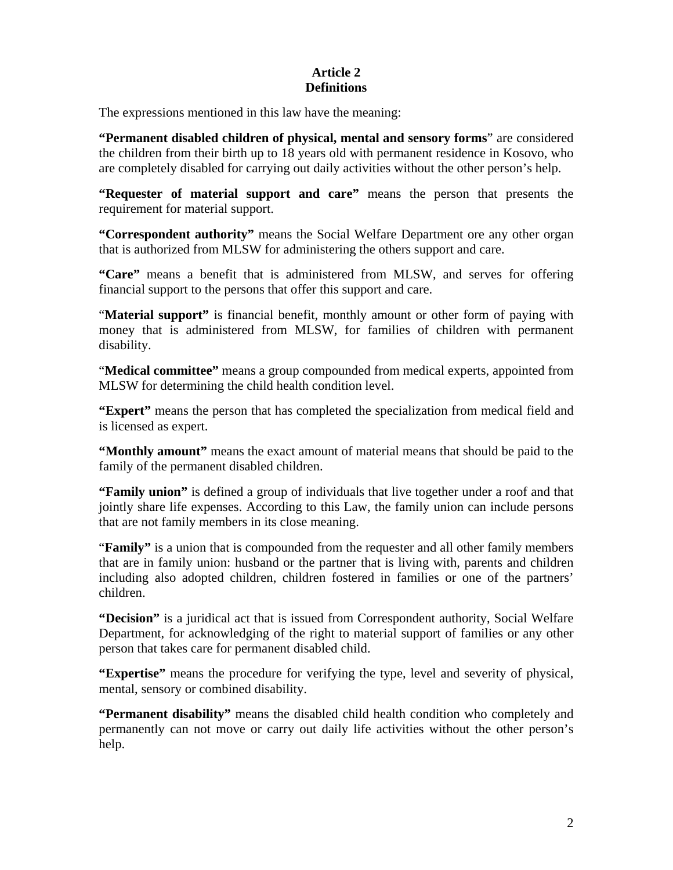### **Article 2 Definitions**

The expressions mentioned in this law have the meaning:

**"Permanent disabled children of physical, mental and sensory forms**" are considered the children from their birth up to 18 years old with permanent residence in Kosovo, who are completely disabled for carrying out daily activities without the other person's help.

**"Requester of material support and care"** means the person that presents the requirement for material support.

**"Correspondent authority"** means the Social Welfare Department ore any other organ that is authorized from MLSW for administering the others support and care.

**"Care"** means a benefit that is administered from MLSW, and serves for offering financial support to the persons that offer this support and care.

"**Material support"** is financial benefit, monthly amount or other form of paying with money that is administered from MLSW, for families of children with permanent disability.

"**Medical committee"** means a group compounded from medical experts, appointed from MLSW for determining the child health condition level.

**"Expert"** means the person that has completed the specialization from medical field and is licensed as expert.

**"Monthly amount"** means the exact amount of material means that should be paid to the family of the permanent disabled children.

**"Family union"** is defined a group of individuals that live together under a roof and that jointly share life expenses. According to this Law, the family union can include persons that are not family members in its close meaning.

"**Family"** is a union that is compounded from the requester and all other family members that are in family union: husband or the partner that is living with, parents and children including also adopted children, children fostered in families or one of the partners' children.

**"Decision"** is a juridical act that is issued from Correspondent authority, Social Welfare Department, for acknowledging of the right to material support of families or any other person that takes care for permanent disabled child.

**"Expertise"** means the procedure for verifying the type, level and severity of physical, mental, sensory or combined disability.

**"Permanent disability"** means the disabled child health condition who completely and permanently can not move or carry out daily life activities without the other person's help.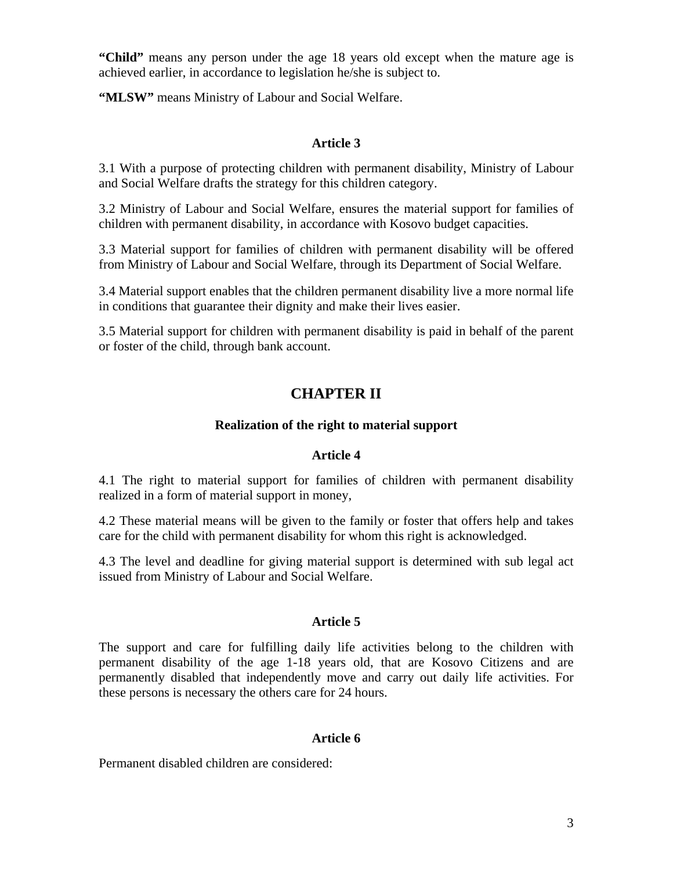**"Child"** means any person under the age 18 years old except when the mature age is achieved earlier, in accordance to legislation he/she is subject to.

**"MLSW"** means Ministry of Labour and Social Welfare.

## **Article 3**

3.1 With a purpose of protecting children with permanent disability, Ministry of Labour and Social Welfare drafts the strategy for this children category.

3.2 Ministry of Labour and Social Welfare, ensures the material support for families of children with permanent disability, in accordance with Kosovo budget capacities.

3.3 Material support for families of children with permanent disability will be offered from Ministry of Labour and Social Welfare, through its Department of Social Welfare.

3.4 Material support enables that the children permanent disability live a more normal life in conditions that guarantee their dignity and make their lives easier.

3.5 Material support for children with permanent disability is paid in behalf of the parent or foster of the child, through bank account.

# **CHAPTER II**

## **Realization of the right to material support**

#### **Article 4**

4.1 The right to material support for families of children with permanent disability realized in a form of material support in money,

4.2 These material means will be given to the family or foster that offers help and takes care for the child with permanent disability for whom this right is acknowledged.

4.3 The level and deadline for giving material support is determined with sub legal act issued from Ministry of Labour and Social Welfare.

## **Article 5**

The support and care for fulfilling daily life activities belong to the children with permanent disability of the age 1-18 years old, that are Kosovo Citizens and are permanently disabled that independently move and carry out daily life activities. For these persons is necessary the others care for 24 hours.

## **Article 6**

Permanent disabled children are considered: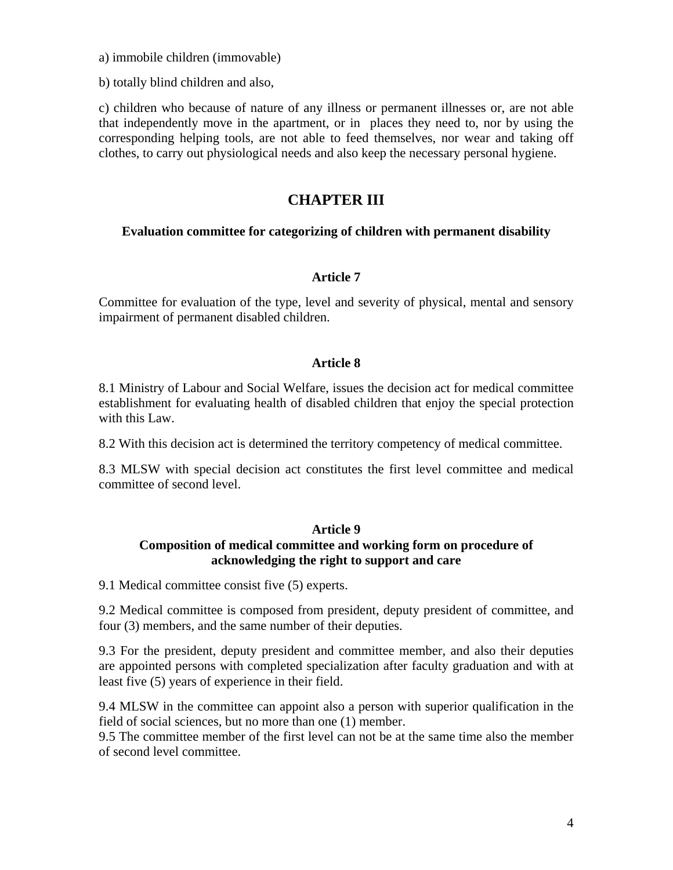a) immobile children (immovable)

b) totally blind children and also,

c) children who because of nature of any illness or permanent illnesses or, are not able that independently move in the apartment, or in places they need to, nor by using the corresponding helping tools, are not able to feed themselves, nor wear and taking off clothes, to carry out physiological needs and also keep the necessary personal hygiene.

## **CHAPTER III**

### **Evaluation committee for categorizing of children with permanent disability**

### **Article 7**

Committee for evaluation of the type, level and severity of physical, mental and sensory impairment of permanent disabled children.

### **Article 8**

8.1 Ministry of Labour and Social Welfare, issues the decision act for medical committee establishment for evaluating health of disabled children that enjoy the special protection with this Law.

8.2 With this decision act is determined the territory competency of medical committee.

8.3 MLSW with special decision act constitutes the first level committee and medical committee of second level.

#### **Article 9**

## **Composition of medical committee and working form on procedure of acknowledging the right to support and care**

9.1 Medical committee consist five (5) experts.

9.2 Medical committee is composed from president, deputy president of committee, and four (3) members, and the same number of their deputies.

9.3 For the president, deputy president and committee member, and also their deputies are appointed persons with completed specialization after faculty graduation and with at least five (5) years of experience in their field.

9.4 MLSW in the committee can appoint also a person with superior qualification in the field of social sciences, but no more than one (1) member.

9.5 The committee member of the first level can not be at the same time also the member of second level committee.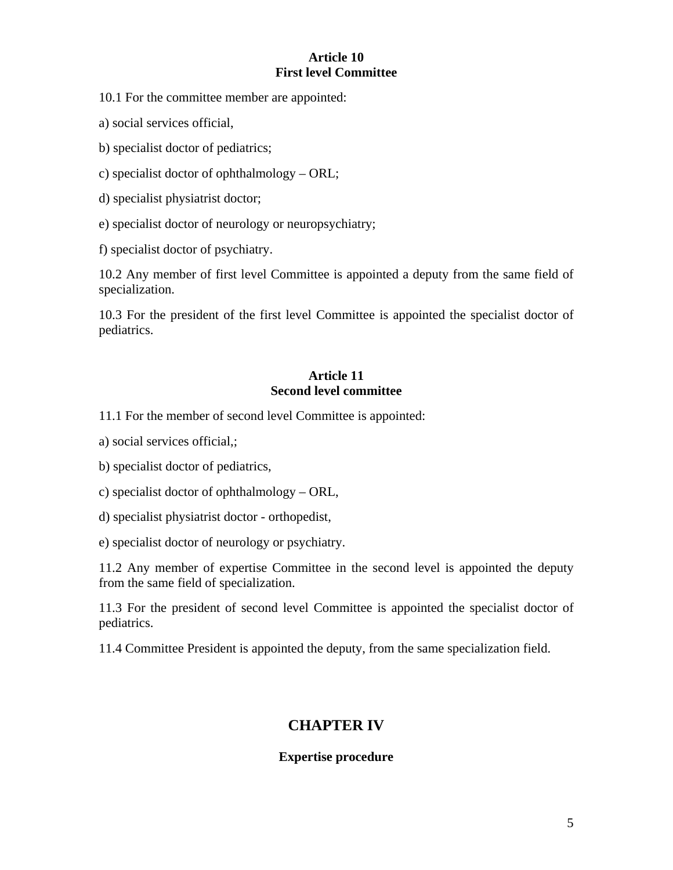#### **Article 10 First level Committee**

10.1 For the committee member are appointed:

a) social services official,

b) specialist doctor of pediatrics;

- c) specialist doctor of ophthalmology ORL;
- d) specialist physiatrist doctor;
- e) specialist doctor of neurology or neuropsychiatry;

f) specialist doctor of psychiatry.

10.2 Any member of first level Committee is appointed a deputy from the same field of specialization.

10.3 For the president of the first level Committee is appointed the specialist doctor of pediatrics.

### **Article 11 Second level committee**

11.1 For the member of second level Committee is appointed:

a) social services official,;

b) specialist doctor of pediatrics,

c) specialist doctor of ophthalmology – ORL,

d) specialist physiatrist doctor - orthopedist,

e) specialist doctor of neurology or psychiatry.

11.2 Any member of expertise Committee in the second level is appointed the deputy from the same field of specialization.

11.3 For the president of second level Committee is appointed the specialist doctor of pediatrics.

11.4 Committee President is appointed the deputy, from the same specialization field.

# **CHAPTER IV**

#### **Expertise procedure**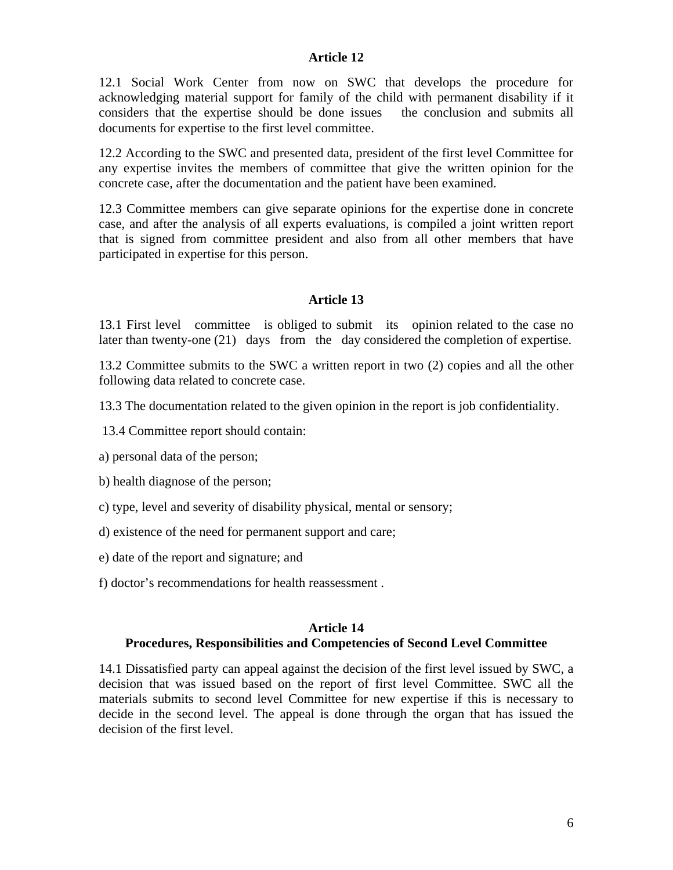#### **Article 12**

12.1 Social Work Center from now on SWC that develops the procedure for acknowledging material support for family of the child with permanent disability if it considers that the expertise should be done issues the conclusion and submits all documents for expertise to the first level committee.

12.2 According to the SWC and presented data, president of the first level Committee for any expertise invites the members of committee that give the written opinion for the concrete case, after the documentation and the patient have been examined.

12.3 Committee members can give separate opinions for the expertise done in concrete case, and after the analysis of all experts evaluations, is compiled a joint written report that is signed from committee president and also from all other members that have participated in expertise for this person.

#### **Article 13**

13.1 First level committee is obliged to submit its opinion related to the case no later than twenty-one (21) days from the day considered the completion of expertise.

13.2 Committee submits to the SWC a written report in two (2) copies and all the other following data related to concrete case.

13.3 The documentation related to the given opinion in the report is job confidentiality.

13.4 Committee report should contain:

a) personal data of the person;

b) health diagnose of the person;

c) type, level and severity of disability physical, mental or sensory;

d) existence of the need for permanent support and care;

e) date of the report and signature; and

f) doctor's recommendations for health reassessment .

### **Article 14**

#### **Procedures, Responsibilities and Competencies of Second Level Committee**

14.1 Dissatisfied party can appeal against the decision of the first level issued by SWC, a decision that was issued based on the report of first level Committee. SWC all the materials submits to second level Committee for new expertise if this is necessary to decide in the second level. The appeal is done through the organ that has issued the decision of the first level.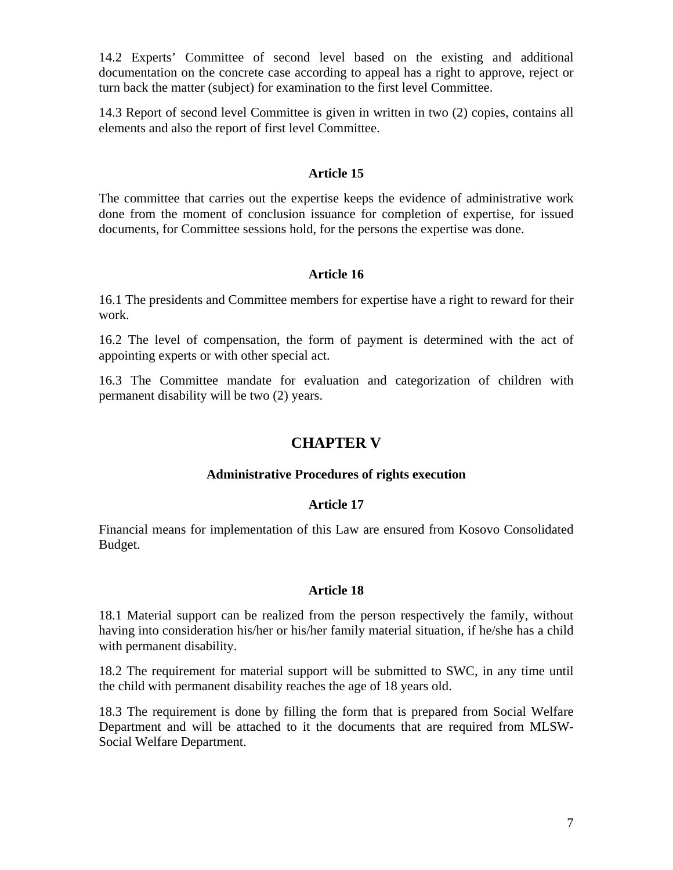14.2 Experts' Committee of second level based on the existing and additional documentation on the concrete case according to appeal has a right to approve, reject or turn back the matter (subject) for examination to the first level Committee.

14.3 Report of second level Committee is given in written in two (2) copies, contains all elements and also the report of first level Committee.

### **Article 15**

The committee that carries out the expertise keeps the evidence of administrative work done from the moment of conclusion issuance for completion of expertise, for issued documents, for Committee sessions hold, for the persons the expertise was done.

## **Article 16**

16.1 The presidents and Committee members for expertise have a right to reward for their work.

16.2 The level of compensation, the form of payment is determined with the act of appointing experts or with other special act.

16.3 The Committee mandate for evaluation and categorization of children with permanent disability will be two (2) years.

# **CHAPTER V**

#### **Administrative Procedures of rights execution**

#### **Article 17**

Financial means for implementation of this Law are ensured from Kosovo Consolidated Budget.

#### **Article 18**

18.1 Material support can be realized from the person respectively the family, without having into consideration his/her or his/her family material situation, if he/she has a child with permanent disability.

18.2 The requirement for material support will be submitted to SWC, in any time until the child with permanent disability reaches the age of 18 years old.

18.3 The requirement is done by filling the form that is prepared from Social Welfare Department and will be attached to it the documents that are required from MLSW-Social Welfare Department.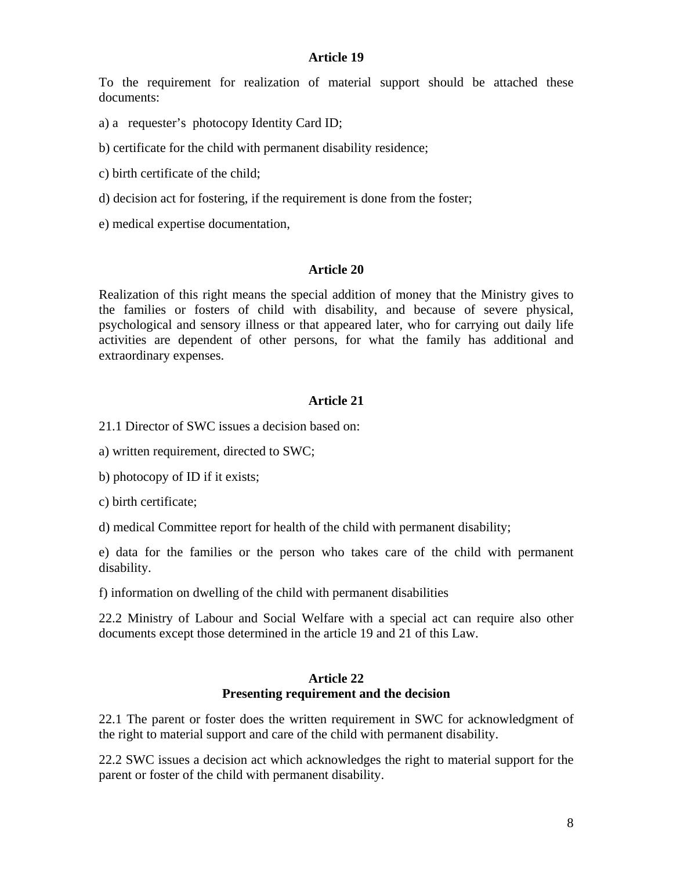#### **Article 19**

To the requirement for realization of material support should be attached these documents:

- a) a requester's photocopy Identity Card ID;
- b) certificate for the child with permanent disability residence;
- c) birth certificate of the child;
- d) decision act for fostering, if the requirement is done from the foster;
- e) medical expertise documentation,

#### **Article 20**

Realization of this right means the special addition of money that the Ministry gives to the families or fosters of child with disability, and because of severe physical, psychological and sensory illness or that appeared later, who for carrying out daily life activities are dependent of other persons, for what the family has additional and extraordinary expenses.

#### **Article 21**

21.1 Director of SWC issues a decision based on:

a) written requirement, directed to SWC;

b) photocopy of ID if it exists;

c) birth certificate;

d) medical Committee report for health of the child with permanent disability;

e) data for the families or the person who takes care of the child with permanent disability.

f) information on dwelling of the child with permanent disabilities

22.2 Ministry of Labour and Social Welfare with a special act can require also other documents except those determined in the article 19 and 21 of this Law.

#### **Article 22 Presenting requirement and the decision**

22.1 The parent or foster does the written requirement in SWC for acknowledgment of the right to material support and care of the child with permanent disability.

22.2 SWC issues a decision act which acknowledges the right to material support for the parent or foster of the child with permanent disability.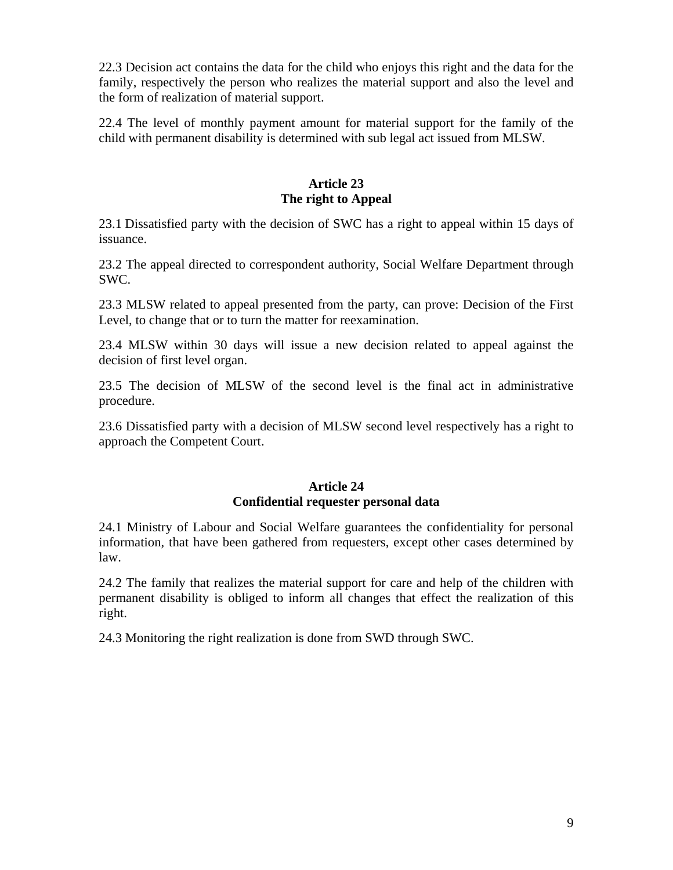22.3 Decision act contains the data for the child who enjoys this right and the data for the family, respectively the person who realizes the material support and also the level and the form of realization of material support.

22.4 The level of monthly payment amount for material support for the family of the child with permanent disability is determined with sub legal act issued from MLSW.

## **Article 23 The right to Appeal**

23.1 Dissatisfied party with the decision of SWC has a right to appeal within 15 days of issuance.

23.2 The appeal directed to correspondent authority, Social Welfare Department through SWC.

23.3 MLSW related to appeal presented from the party, can prove: Decision of the First Level, to change that or to turn the matter for reexamination.

23.4 MLSW within 30 days will issue a new decision related to appeal against the decision of first level organ.

23.5 The decision of MLSW of the second level is the final act in administrative procedure.

23.6 Dissatisfied party with a decision of MLSW second level respectively has a right to approach the Competent Court.

### **Article 24 Confidential requester personal data**

24.1 Ministry of Labour and Social Welfare guarantees the confidentiality for personal information, that have been gathered from requesters, except other cases determined by law.

24.2 The family that realizes the material support for care and help of the children with permanent disability is obliged to inform all changes that effect the realization of this right.

24.3 Monitoring the right realization is done from SWD through SWC.